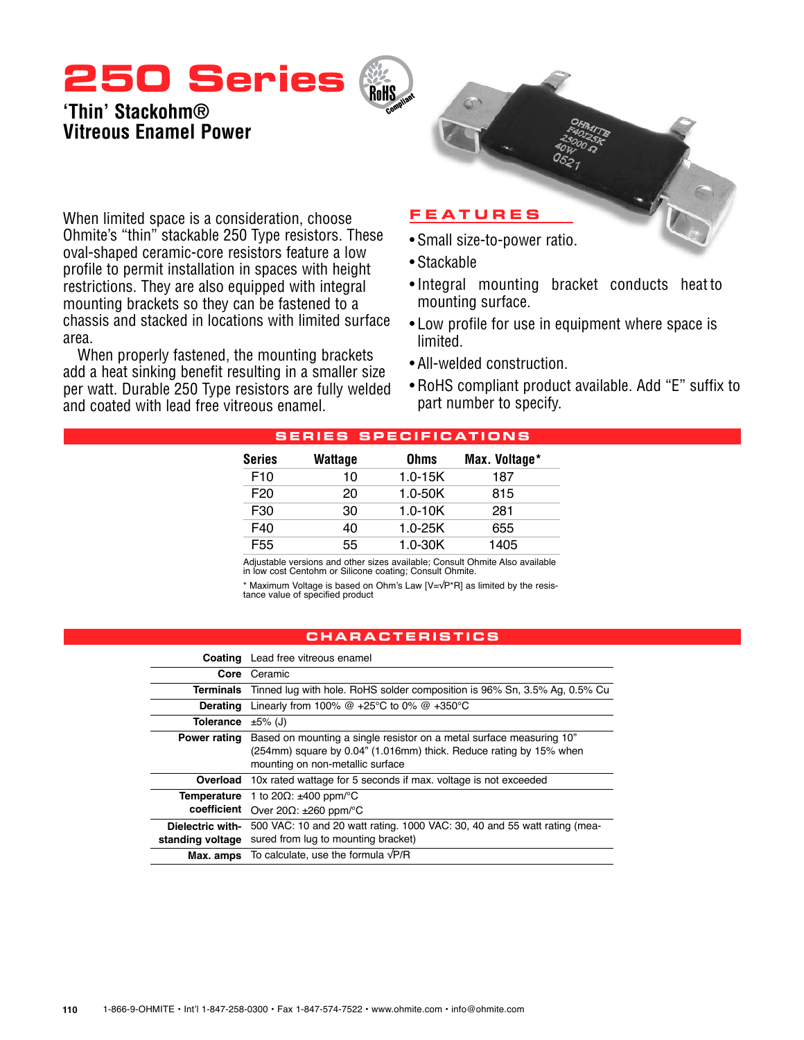# **250 Series**

# **'Thin' Stackohm® Vitreous Enamel Power**



When limited space is a consideration, choose Ohmite's "thin" stackable 250 Type resistors. These oval-shaped ceramic-core resistors feature a low profile to permit installation in spaces with height restrictions. They are also equipped with integral mounting brackets so they can be fastened to a chassis and stacked in locations with limited surface area.

When properly fastened, the mounting brackets add a heat sinking benefit resulting in a smaller size per watt. Durable 250 Type resistors are fully welded and coated with lead free vitreous enamel.

## • Small size-to-power ratio.

- • Stackable
- • Integral mounting bracket conducts heat to mounting surface.
- Low profile for use in equipment where space is limited.
- All-welded construction.
- RoHS compliant product available. Add "E" suffix to part number to specify.

| -------<br>_ _ _ _ _ _ _ _ _ _ _ _ _ _ |             |               |  |  |  |  |  |
|----------------------------------------|-------------|---------------|--|--|--|--|--|
| Wattage                                | <b>Ohms</b> | Max. Voltage* |  |  |  |  |  |
| 10                                     | $1.0 - 15K$ | 187           |  |  |  |  |  |
| 20                                     | $1.0 - 50K$ | 815           |  |  |  |  |  |
| 30                                     | $1.0 - 10K$ | 281           |  |  |  |  |  |
| 40                                     | $1.0 - 25K$ | 655           |  |  |  |  |  |
| 55                                     | $1.0 - 30K$ | 1405          |  |  |  |  |  |
|                                        |             |               |  |  |  |  |  |

#### **S ERIE S SP ECI F ICATI ONS**

**RoHS** 

Adjustable versions and other sizes available; Consult Ohmite Also available in low cost Centohm or Silicone coating; Consult Ohmite.

\* Maximum Voltage is based on Ohm's Law [V=√P\*R] as limited by the resistance value of specified product

### **characteri s tic s**

|                     | <b>Coating</b> Lead free vitreous enamel                                                                                                                                       |
|---------------------|--------------------------------------------------------------------------------------------------------------------------------------------------------------------------------|
|                     | Core Ceramic                                                                                                                                                                   |
|                     | <b>Terminals</b> Tinned lug with hole. RoHS solder composition is 96% Sn, 3.5% Ag, 0.5% Cu                                                                                     |
| Derating            | Linearly from 100% $@ +25^{\circ}C$ to 0% $@ +350^{\circ}C$                                                                                                                    |
| Tolerance           | $±5\%$ (J)                                                                                                                                                                     |
| <b>Power rating</b> | Based on mounting a single resistor on a metal surface measuring 10"<br>(254mm) square by 0.04" (1.016mm) thick. Reduce rating by 15% when<br>mounting on non-metallic surface |
|                     | <b>Overload</b> 10x rated wattage for 5 seconds if max. voltage is not exceeded                                                                                                |
|                     | <b>Temperature</b> 1 to 20 $\Omega$ : $\pm 400$ ppm/°C<br>coefficient Over 20 $\Omega$ : ±260 ppm/°C                                                                           |
| standing voltage    | Dielectric with- 500 VAC: 10 and 20 watt rating. 1000 VAC: 30, 40 and 55 watt rating (mea-<br>sured from lug to mounting bracket)                                              |
|                     | <b>Max. amps</b> To calculate, use the formula $\sqrt{P/R}$                                                                                                                    |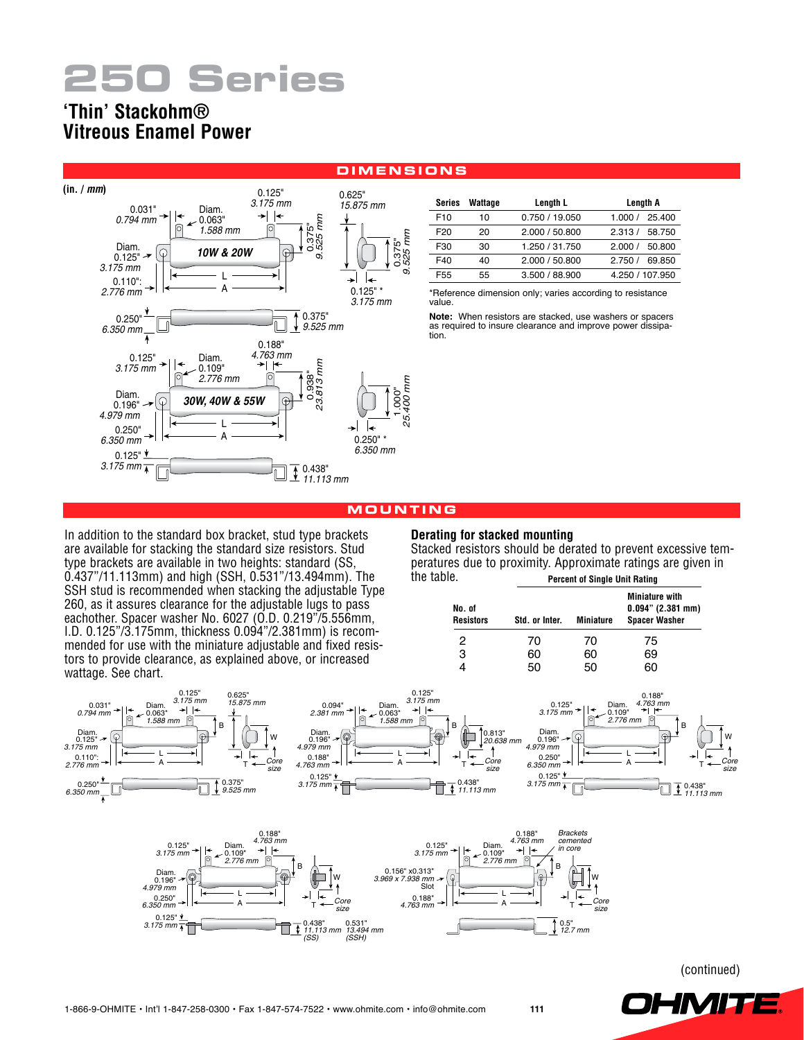# **250 Series**

## **'Thin' Stackohm® Vitreous Enamel Power**



| DIMENSIONS |                |  |
|------------|----------------|--|
| 0.625"     | Course Wattons |  |

| Series          | Wattage | Length L       | Length A         |  |
|-----------------|---------|----------------|------------------|--|
| F <sub>10</sub> | 10      | 0.750 / 19.050 | 1.000 / 25.400   |  |
| F <sub>20</sub> | 20      | 2.000 / 50.800 | 2.313/<br>58.750 |  |
| F30             | 30      | 1.250 / 31.750 | 50.800<br>2.000/ |  |
| F40             | 40      | 2.000 / 50.800 | 2.750/<br>69.850 |  |
| F <sub>55</sub> | 55      | 3.500 / 88.900 | 4.250 / 107.950  |  |

\*Reference dimension only; varies according to resistance value.

**Note:** When resistors are stacked, use washers or spacers as required to insure clearance and improve power dissipa- tion.

#### **Mo u n t i n g**

In addition to the standard box bracket, stud type brackets are available for stacking the standard size resistors. Stud type brackets are available in two heights: standard (SS, 0.437"/11.113mm) and high (SSH, 0.531"/13.494mm). The SSH stud is recommended when stacking the adjustable Type 260, as it assures clearance for the adjustable lugs to pass eachother. Spacer washer No. 6027 (O.D. 0.219"/5.556mm, I.D. 0.125"/3.175mm, thickness 0.094"/2.381mm) is recommended for use with the miniature adjustable and fixed resistors to provide clearance, as explained above, or increased

wattage. See chart.

#### **Derating for stacked mounting**

Stacked resistors should be derated to prevent excessive temperatures due to proximity. Approximate ratings are given in the table. **Percent of Single Unit Rating**

| No. of<br><b>Resistors</b> | Std. or Inter. | <b>Miniature</b> | <b>Miniature with</b><br>$0.094"$ (2.381 mm)<br><b>Spacer Washer</b> |
|----------------------------|----------------|------------------|----------------------------------------------------------------------|
| 2                          | 70             | 70               | 75                                                                   |
| 3                          | 60             | 60               | 69                                                                   |
|                            | 50             | 50               | 60                                                                   |





(continued)